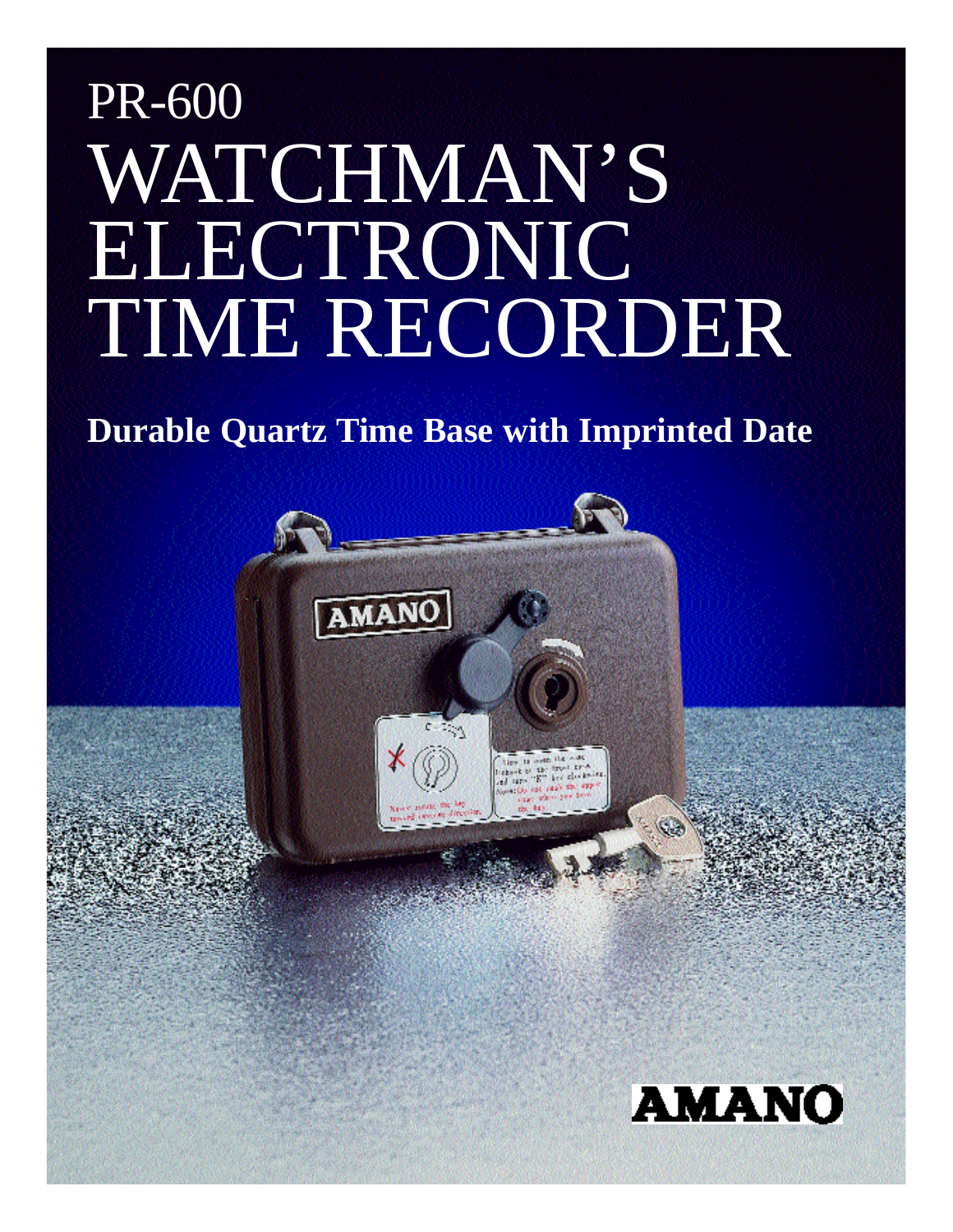# PR-600 WATCHMAN'S ELECTRONIC TIME RECORDER

## **Durable Quartz Time Base with Imprinted Date**